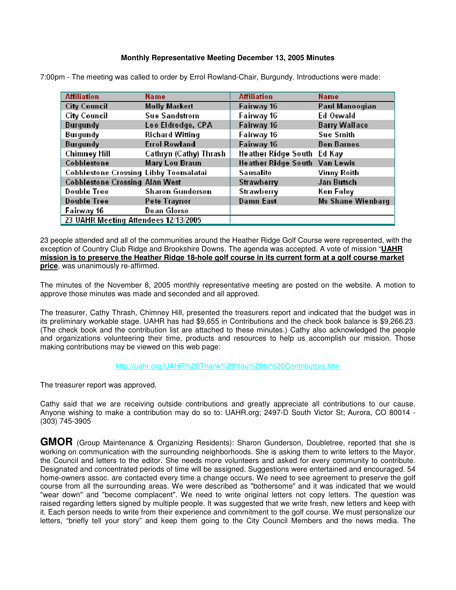## **Monthly Representative Meeting December 13, 2005 Minutes**

| <b>Affiliation</b>                           | <b>Name</b>             | <b>Affiliation</b>            | <b>Name</b>              |
|----------------------------------------------|-------------------------|-------------------------------|--------------------------|
| <b>City Council</b>                          | <b>Molly Markert</b>    | Fairway 16                    | Paul Manoogian           |
| <b>City Council</b>                          | <b>Sue Sandstrom</b>    | Fairway 16                    | Ed Oswald                |
| <b>Burgundy</b>                              | Lee Eldredge, CPA       | Fairway 16                    | <b>Barry Wallace</b>     |
| <b>Burgundy</b>                              | <b>Richard Witting</b>  | Fairway 16                    | <b>Sue Smith</b>         |
| <b>Burgundy</b>                              | <b>Errol Rowland</b>    | Fairway 16                    | <b>Ben Barnes</b>        |
| <b>Chimney Hill</b>                          | Cathryn (Cathy) Thrash  | Heather Ridge South Ed Kay    |                          |
| Cobblestone                                  | <b>Mary Lou Braun</b>   | Heather Ridge South Van Lewis |                          |
| <b>Cobblestone Crossing Libby Toomalatai</b> |                         | <b>Sausalito</b>              | <b>Vinny Roith</b>       |
| <b>Cobblestone Crossing Alan West</b>        |                         | <b>Strawberry</b>             | Jan Butsch               |
| <b>Double Tree</b>                           | <b>Sharon Gunderson</b> | <b>Strawberry</b>             | Ken Foley                |
| <b>Double Tree</b>                           | Pete Traynor            | <b>Damn East</b>              | <b>Ms Shane Wienbarg</b> |
| Fairway 16                                   | <b>Dean Glorso</b>      |                               |                          |
| 23 UAHR Meeting Attendees 12/13/2005         |                         |                               |                          |

7:00pm - The meeting was called to order by Errol Rowland-Chair, Burgundy. Introductions were made:

23 people attended and all of the communities around the Heather Ridge Golf Course were represented, with the exception of Country Club Ridge and Brookshire Downs. The agenda was accepted. A vote of mission "**UAHR mission is to preserve the Heather Ridge 18-hole golf course in its current form at a golf course market price**, was unanimously re-affirmed.

The minutes of the November 8, 2005 monthly representative meeting are posted on the website. A motion to approve those minutes was made and seconded and all approved.

The treasurer, Cathy Thrash, Chimney Hill, presented the treasurers report and indicated that the budget was in its preliminary workable stage. UAHR has had \$9,655 in Contributions and the check book balance is \$9,266.23. (The check book and the contribution list are attached to these minutes.) Cathy also acknowledged the people and organizations volunteering their time, products and resources to help us accomplish our mission. Those making contributions may be viewed on this web page:

## http://uahr.org/UAHR%20Thank%20You%20to%20Contributors.htm

The treasurer report was approved.

Cathy said that we are receiving outside contributions and greatly appreciate all contributions to our cause. Anyone wishing to make a contribution may do so to: UAHR.org; 2497-D South Victor St; Aurora, CO 80014 - (303) 745-3905

**GMOR** (Group Maintenance & Organizing Residents): Sharon Gunderson, Doubletree, reported that she is working on communication with the surrounding neighborhoods. She is asking them to write letters to the Mayor, the Council and letters to the editor. She needs more volunteers and asked for every community to contribute. Designated and concentrated periods of time will be assigned. Suggestions were entertained and encouraged. 54 home-owners assoc. are contacted every time a change occurs. We need to see agreement to preserve the golf course from all the surrounding areas. We were described as "bothersome" and it was indicated that we would "wear down" and "become complacent". We need to write original letters not copy letters. The question was raised regarding letters signed by multiple people. It was suggested that we write fresh, new letters and keep with it. Each person needs to write from their experience and commitment to the golf course. We must personalize our letters, "briefly tell your story" and keep them going to the City Council Members and the news media. The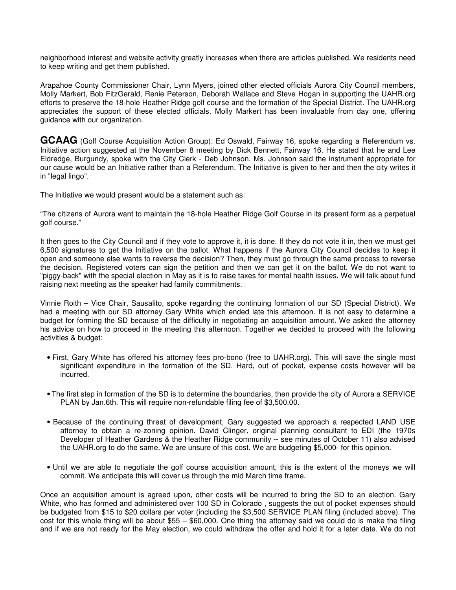neighborhood interest and website activity greatly increases when there are articles published. We residents need to keep writing and get them published.

Arapahoe County Commissioner Chair, Lynn Myers, joined other elected officials Aurora City Council members, Molly Markert, Bob FitzGerald, Renie Peterson, Deborah Wallace and Steve Hogan in supporting the UAHR.org efforts to preserve the 18-hole Heather Ridge golf course and the formation of the Special District. The UAHR.org appreciates the support of these elected officials. Molly Markert has been invaluable from day one, offering guidance with our organization.

GCAAG (Golf Course Acquisition Action Group): Ed Oswald, Fairway 16, spoke regarding a Referendum vs. Initiative action suggested at the November 8 meeting by Dick Bennett, Fairway 16. He stated that he and Lee Eldredge, Burgundy, spoke with the City Clerk - Deb Johnson. Ms. Johnson said the instrument appropriate for our cause would be an Initiative rather than a Referendum. The Initiative is given to her and then the city writes it in "legal lingo".

The Initiative we would present would be a statement such as:

"The citizens of Aurora want to maintain the 18-hole Heather Ridge Golf Course in its present form as a perpetual golf course."

It then goes to the City Council and if they vote to approve it, it is done. If they do not vote it in, then we must get 6,500 signatures to get the Initiative on the ballot. What happens if the Aurora City Council decides to keep it open and someone else wants to reverse the decision? Then, they must go through the same process to reverse the decision. Registered voters can sign the petition and then we can get it on the ballot. We do not want to "piggy-back" with the special election in May as it is to raise taxes for mental health issues. We will talk about fund raising next meeting as the speaker had family commitments.

Vinnie Roith – Vice Chair, Sausalito, spoke regarding the continuing formation of our SD (Special District). We had a meeting with our SD attorney Gary White which ended late this afternoon. It is not easy to determine a budget for forming the SD because of the difficulty in negotiating an acquisition amount. We asked the attorney his advice on how to proceed in the meeting this afternoon. Together we decided to proceed with the following activities & budget:

- First, Gary White has offered his attorney fees pro-bono (free to UAHR.org). This will save the single most significant expenditure in the formation of the SD. Hard, out of pocket, expense costs however will be incurred.
- The first step in formation of the SD is to determine the boundaries, then provide the city of Aurora a SERVICE PLAN by Jan.6th. This will require non-refundable filing fee of \$3,500.00.
- Because of the continuing threat of development, Gary suggested we approach a respected LAND USE attorney to obtain a re-zoning opinion. David Clinger, original planning consultant to EDI (the 1970s Developer of Heather Gardens & the Heather Ridge community -- see minutes of October 11) also advised the UAHR.org to do the same. We are unsure of this cost. We are budgeting \$5,000- for this opinion.
- Until we are able to negotiate the golf course acquisition amount, this is the extent of the moneys we will commit. We anticipate this will cover us through the mid March time frame.

Once an acquisition amount is agreed upon, other costs will be incurred to bring the SD to an election. Gary White, who has formed and administered over 100 SD in Colorado, suggests the out of pocket expenses should be budgeted from \$15 to \$20 dollars per voter (including the \$3,500 SERVICE PLAN filing (included above). The cost for this whole thing will be about \$55 – \$60,000. One thing the attorney said we could do is make the filing and if we are not ready for the May election, we could withdraw the offer and hold it for a later date. We do not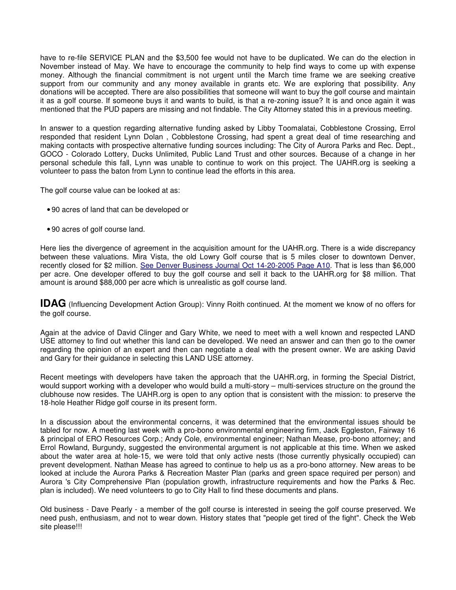have to re-file SERVICE PLAN and the \$3,500 fee would not have to be duplicated. We can do the election in November instead of May. We have to encourage the community to help find ways to come up with expense money. Although the financial commitment is not urgent until the March time frame we are seeking creative support from our community and any money available in grants etc. We are exploring that possibility. Any donations will be accepted. There are also possibilities that someone will want to buy the golf course and maintain it as a golf course. If someone buys it and wants to build, is that a re-zoning issue? It is and once again it was mentioned that the PUD papers are missing and not findable. The City Attorney stated this in a previous meeting.

In answer to a question regarding alternative funding asked by Libby Toomalatai, Cobblestone Crossing, Errol responded that resident Lynn Dolan , Cobblestone Crossing, had spent a great deal of time researching and making contacts with prospective alternative funding sources including: The City of Aurora Parks and Rec. Dept., GOCO - Colorado Lottery, Ducks Unlimited, Public Land Trust and other sources. Because of a change in her personal schedule this fall, Lynn was unable to continue to work on this project. The UAHR.org is seeking a volunteer to pass the baton from Lynn to continue lead the efforts in this area.

The golf course value can be looked at as:

- 90 acres of land that can be developed or
- 90 acres of golf course land.

Here lies the divergence of agreement in the acquisition amount for the UAHR.org. There is a wide discrepancy between these valuations. Mira Vista, the old Lowry Golf course that is 5 miles closer to downtown Denver, recently closed for \$2 million. See Denver Business Journal Oct 14-20-2005 Page A10. That is less than \$6,000 per acre. One developer offered to buy the golf course and sell it back to the UAHR.org for \$8 million. That amount is around \$88,000 per acre which is unrealistic as golf course land.

**IDAG** (Influencing Development Action Group): Vinny Roith continued. At the moment we know of no offers for the golf course.

Again at the advice of David Clinger and Gary White, we need to meet with a well known and respected LAND USE attorney to find out whether this land can be developed. We need an answer and can then go to the owner regarding the opinion of an expert and then can negotiate a deal with the present owner. We are asking David and Gary for their guidance in selecting this LAND USE attorney.

Recent meetings with developers have taken the approach that the UAHR.org, in forming the Special District, would support working with a developer who would build a multi-story – multi-services structure on the ground the clubhouse now resides. The UAHR.org is open to any option that is consistent with the mission: to preserve the 18-hole Heather Ridge golf course in its present form.

In a discussion about the environmental concerns, it was determined that the environmental issues should be tabled for now. A meeting last week with a pro-bono environmental engineering firm, Jack Eggleston, Fairway 16 & principal of ERO Resources Corp.; Andy Cole, environmental engineer; Nathan Mease, pro-bono attorney; and Errol Rowland, Burgundy, suggested the environmental argument is not applicable at this time. When we asked about the water area at hole-15, we were told that only active nests (those currently physically occupied) can prevent development. Nathan Mease has agreed to continue to help us as a pro-bono attorney. New areas to be looked at include the Aurora Parks & Recreation Master Plan (parks and green space required per person) and Aurora 's City Comprehensive Plan (population growth, infrastructure requirements and how the Parks & Rec. plan is included). We need volunteers to go to City Hall to find these documents and plans.

Old business - Dave Pearly - a member of the golf course is interested in seeing the golf course preserved. We need push, enthusiasm, and not to wear down. History states that "people get tired of the fight". Check the Web site please!!!